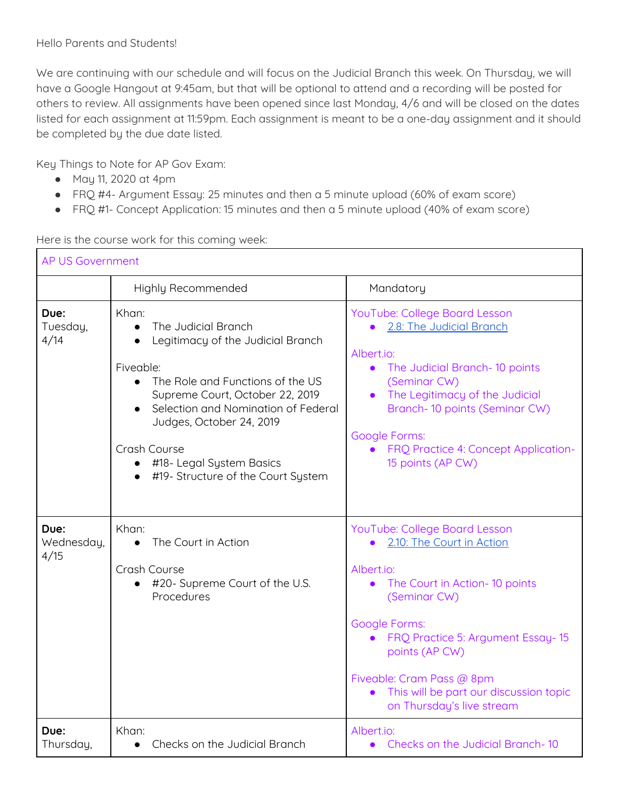We are continuing with our schedule and will focus on the Judicial Branch this week. On Thursday, we will have a Google Hangout at 9:45am, but that will be optional to attend and a recording will be posted for others to review. All assignments have been opened since last Monday, 4/6 and will be closed on the dates listed for each assignment at 11:59pm. Each assignment is meant to be a one-day assignment and it should be completed by the due date listed.

Key Things to Note for AP Gov Exam:

- May 11, 2020 at 4pm
- FRQ #4- Argument Essay: 25 minutes and then a 5 minute upload (60% of exam score)
- FRQ #1- Concept Application: 15 minutes and then a 5 minute upload (40% of exam score)

| <b>AP US Government</b>    |                                                                                                                                                                                                                                                                                                                                                   |                                                                                                                                                                                                                                                                                                              |  |  |
|----------------------------|---------------------------------------------------------------------------------------------------------------------------------------------------------------------------------------------------------------------------------------------------------------------------------------------------------------------------------------------------|--------------------------------------------------------------------------------------------------------------------------------------------------------------------------------------------------------------------------------------------------------------------------------------------------------------|--|--|
|                            | Highly Recommended                                                                                                                                                                                                                                                                                                                                | Mandatory                                                                                                                                                                                                                                                                                                    |  |  |
| Due:<br>Tuesday,<br>4/14   | Khan:<br>The Judicial Branch<br>$\bullet$<br>Legitimacy of the Judicial Branch<br>Fiveable:<br>The Role and Functions of the US<br>$\bullet$<br>Supreme Court, October 22, 2019<br>Selection and Nomination of Federal<br>$\bullet$<br>Judges, October 24, 2019<br>Crash Course<br>#18- Legal System Basics<br>#19- Structure of the Court System | YouTube: College Board Lesson<br>• 2.8: The Judicial Branch<br>Albert.io:<br>The Judicial Branch-10 points<br>$\bullet$<br>(Seminar CW)<br>The Legitimacy of the Judicial<br>$\bullet$<br>Branch-10 points (Seminar CW)<br><b>Google Forms:</b><br>FRQ Practice 4: Concept Application-<br>15 points (AP CW) |  |  |
| Due:<br>Wednesday,<br>4/15 | Khan:<br>The Court in Action<br>$\bullet$<br>Crash Course<br>#20- Supreme Court of the U.S.<br>$\bullet$<br>Procedures                                                                                                                                                                                                                            | YouTube: College Board Lesson<br>2.10: The Court in Action<br>Albert.io:<br>The Court in Action-10 points<br>(Seminar CW)<br><b>Google Forms:</b><br>FRQ Practice 5: Argument Essay-15<br>points (AP CW)<br>Fiveable: Cram Pass @ 8pm<br>This will be part our discussion topic<br>on Thursday's live stream |  |  |
| Due:<br>Thursday,          | Khan:<br>Checks on the Judicial Branch                                                                                                                                                                                                                                                                                                            | Albert.io:<br>Checks on the Judicial Branch-10                                                                                                                                                                                                                                                               |  |  |

Here is the course work for this coming week: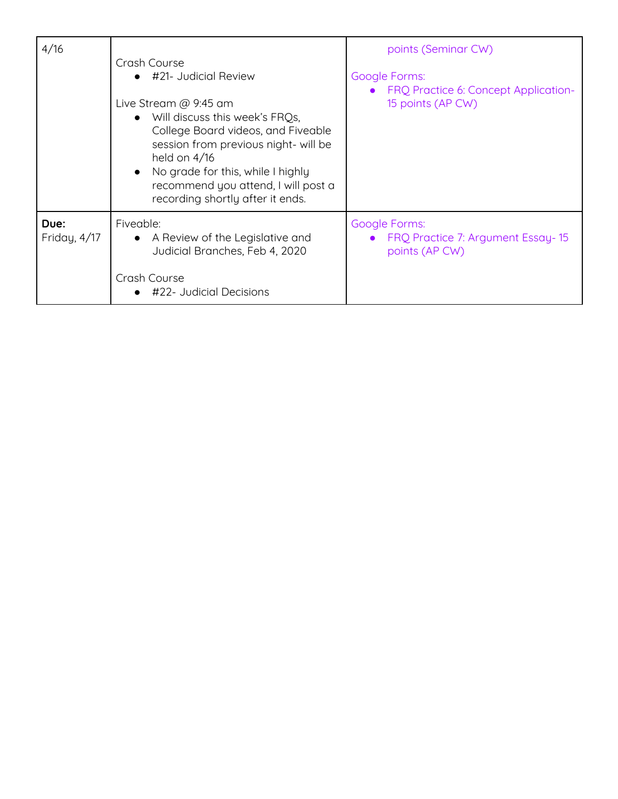| 4/16                 | Crash Course<br>$\bullet$ #21- Judicial Review<br>Live Stream $@9:45$ am<br>• Will discuss this week's FRQs,<br>College Board videos, and Fiveable<br>session from previous night- will be<br>held on 4/16<br>• No grade for this, while I highly<br>recommend you attend, I will post a<br>recording shortly after it ends. | points (Seminar CW)<br><b>Google Forms:</b><br>• FRQ Practice 6: Concept Application-<br>15 points (AP CW) |
|----------------------|------------------------------------------------------------------------------------------------------------------------------------------------------------------------------------------------------------------------------------------------------------------------------------------------------------------------------|------------------------------------------------------------------------------------------------------------|
| Due:<br>Friday, 4/17 | Fiveable:<br>• A Review of the Legislative and<br>Judicial Branches, Feb 4, 2020<br>Crash Course<br>#22- Judicial Decisions                                                                                                                                                                                                  | Google Forms:<br>• FRQ Practice 7: Argument Essay-15<br>points (AP CW)                                     |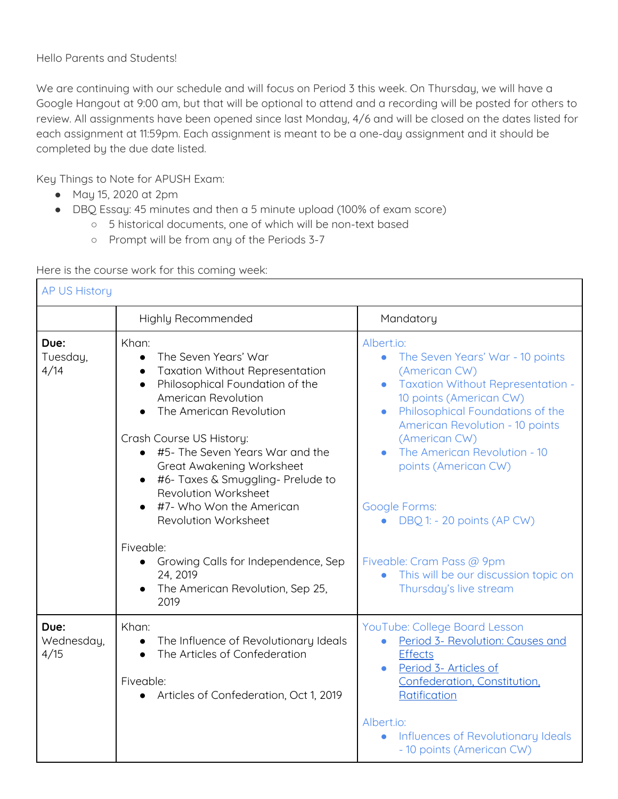Hello Parents and Students!

We are continuing with our schedule and will focus on Period 3 this week. On Thursday, we will have a Google Hangout at 9:00 am, but that will be optional to attend and a recording will be posted for others to review. All assignments have been opened since last Monday, 4/6 and will be closed on the dates listed for each assignment at 11:59pm. Each assignment is meant to be a one-day assignment and it should be completed by the due date listed.

Key Things to Note for APUSH Exam:

- May 15, 2020 at 2pm
- DBQ Essay: 45 minutes and then a 5 minute upload (100% of exam score)
	- 5 historical documents, one of which will be non-text based
	- Prompt will be from any of the Periods 3-7

## Here is the course work for this coming week:

| <b>AP US History</b>       |                                                                                                                                                                                                                                                                                                                                                                                                |                                                                                                                                                                                                                                                                                                                             |  |  |
|----------------------------|------------------------------------------------------------------------------------------------------------------------------------------------------------------------------------------------------------------------------------------------------------------------------------------------------------------------------------------------------------------------------------------------|-----------------------------------------------------------------------------------------------------------------------------------------------------------------------------------------------------------------------------------------------------------------------------------------------------------------------------|--|--|
|                            | Highly Recommended                                                                                                                                                                                                                                                                                                                                                                             | Mandatory                                                                                                                                                                                                                                                                                                                   |  |  |
| Due:<br>Tuesday,<br>4/14   | Khan:<br>The Seven Years' War<br>$\bullet$<br>Taxation Without Representation<br>$\bullet$<br>Philosophical Foundation of the<br>$\bullet$<br>American Revolution<br>The American Revolution<br>Crash Course US History:<br>#5- The Seven Years War and the<br>$\bullet$<br>Great Awakening Worksheet<br>#6- Taxes & Smuggling- Prelude to<br>Revolution Worksheet<br>#7- Who Won the American | Albert.io:<br>The Seven Years' War - 10 points<br>$\bullet$<br>(American CW)<br><b>Taxation Without Representation -</b><br>10 points (American CW)<br>Philosophical Foundations of the<br>American Revolution - 10 points<br>(American CW)<br>The American Revolution - 10<br>points (American CW)<br><b>Google Forms:</b> |  |  |
|                            | <b>Revolution Worksheet</b><br>Fiveable:<br>Growing Calls for Independence, Sep<br>24, 2019<br>The American Revolution, Sep 25,<br>2019                                                                                                                                                                                                                                                        | DBQ 1: - 20 points (AP CW)<br>Fiveable: Cram Pass @ 9pm<br>This will be our discussion topic on<br>Thursday's live stream                                                                                                                                                                                                   |  |  |
| Due:<br>Wednesday,<br>4/15 | Khan:<br>The Influence of Revolutionary Ideals<br>$\bullet$<br>The Articles of Confederation<br>$\bullet$<br>Fiveable:<br>Articles of Confederation, Oct 1, 2019                                                                                                                                                                                                                               | YouTube: College Board Lesson<br>Period 3- Revolution: Causes and<br>$\bullet$<br><b>Effects</b><br>Period 3- Articles of<br>Confederation, Constitution,<br>Ratification<br>Albert.io:                                                                                                                                     |  |  |
|                            |                                                                                                                                                                                                                                                                                                                                                                                                | Influences of Revolutionary Ideals<br>$\bullet$<br>- 10 points (American CW)                                                                                                                                                                                                                                                |  |  |